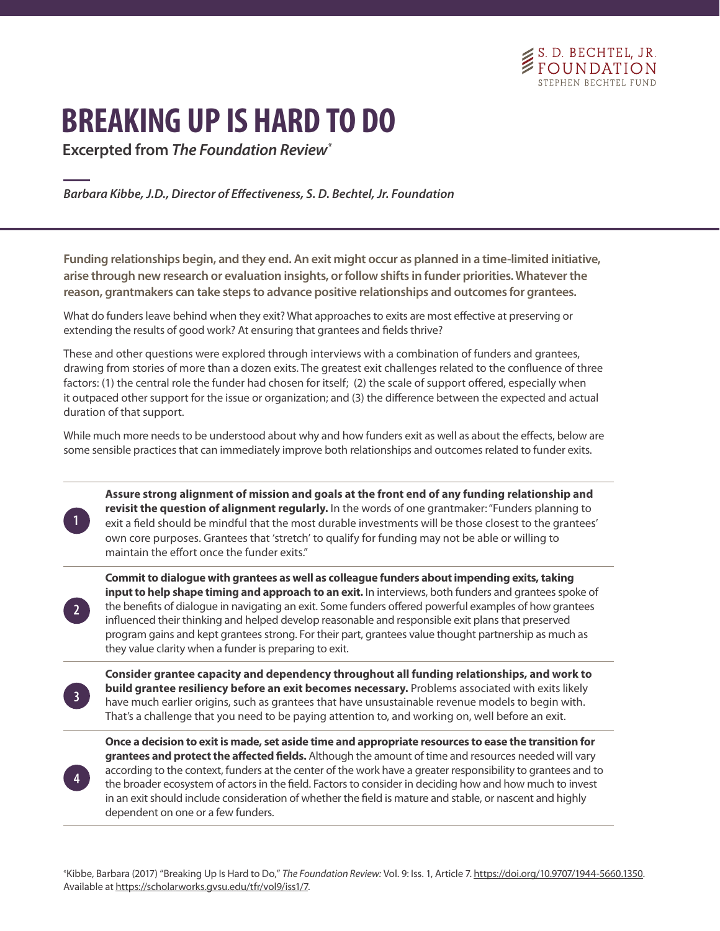

## **BREAKING UP IS HARD TO DO**

 **Excerpted from** *The Foundation Review\**

*Barbara Kibbe, J.D., Director of Effectiveness, S. D. Bechtel, Jr. Foundation*

**Funding relationships begin, and they end. An exit might occur as planned in a time-limited initiative, arise through new research or evaluation insights, or follow shifts in funder priorities. Whatever the reason, grantmakers can take steps to advance positive relationships and outcomes for grantees.**

What do funders leave behind when they exit? What approaches to exits are most effective at preserving or extending the results of good work? At ensuring that grantees and fields thrive?

These and other questions were explored through interviews with a combination of funders and grantees, drawing from stories of more than a dozen exits. The greatest exit challenges related to the confluence of three factors: (1) the central role the funder had chosen for itself; (2) the scale of support offered, especially when it outpaced other support for the issue or organization; and (3) the difference between the expected and actual duration of that support.

While much more needs to be understood about why and how funders exit as well as about the effects, below are some sensible practices that can immediately improve both relationships and outcomes related to funder exits.



dependent on one or a few funders.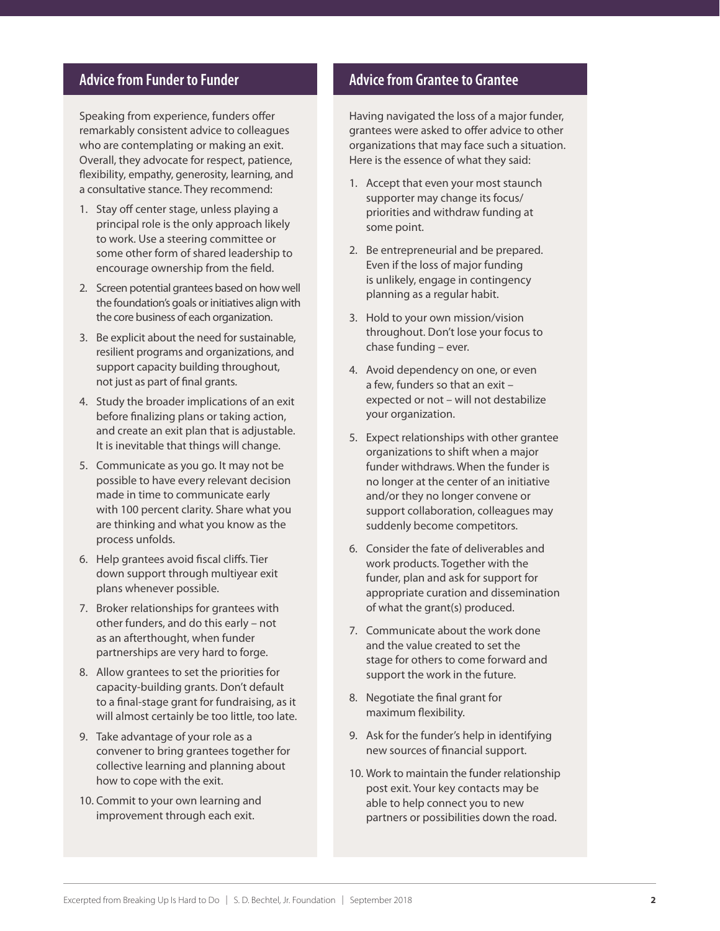## **Advice from Funder to Funder**

Speaking from experience, funders offer remarkably consistent advice to colleagues who are contemplating or making an exit. Overall, they advocate for respect, patience, flexibility, empathy, generosity, learning, and a consultative stance. They recommend:

- 1. Stay off center stage, unless playing a principal role is the only approach likely to work. Use a steering committee or some other form of shared leadership to encourage ownership from the field.
- 2. Screen potential grantees based on how well the foundation's goals or initiatives align with the core business of each organization.
- 3. Be explicit about the need for sustainable, resilient programs and organizations, and support capacity building throughout, not just as part of final grants.
- 4. Study the broader implications of an exit before finalizing plans or taking action, and create an exit plan that is adjustable. It is inevitable that things will change.
- 5. Communicate as you go. It may not be possible to have every relevant decision made in time to communicate early with 100 percent clarity. Share what you are thinking and what you know as the process unfolds.
- 6. Help grantees avoid fiscal cliffs. Tier down support through multiyear exit plans whenever possible.
- 7. Broker relationships for grantees with other funders, and do this early – not as an afterthought, when funder partnerships are very hard to forge.
- 8. Allow grantees to set the priorities for capacity-building grants. Don't default to a final-stage grant for fundraising, as it will almost certainly be too little, too late.
- 9. Take advantage of your role as a convener to bring grantees together for collective learning and planning about how to cope with the exit.
- 10. Commit to your own learning and improvement through each exit.

## **Advice from Grantee to Grantee**

Having navigated the loss of a major funder, grantees were asked to offer advice to other organizations that may face such a situation. Here is the essence of what they said:

- 1. Accept that even your most staunch supporter may change its focus/ priorities and withdraw funding at some point.
- 2. Be entrepreneurial and be prepared. Even if the loss of major funding is unlikely, engage in contingency planning as a regular habit.
- 3. Hold to your own mission/vision throughout. Don't lose your focus to chase funding – ever.
- 4. Avoid dependency on one, or even a few, funders so that an exit – expected or not – will not destabilize your organization.
- 5. Expect relationships with other grantee organizations to shift when a major funder withdraws. When the funder is no longer at the center of an initiative and/or they no longer convene or support collaboration, colleagues may suddenly become competitors.
- 6. Consider the fate of deliverables and work products. Together with the funder, plan and ask for support for appropriate curation and dissemination of what the grant(s) produced.
- 7. Communicate about the work done and the value created to set the stage for others to come forward and support the work in the future.
- 8. Negotiate the final grant for maximum flexibility.
- 9. Ask for the funder's help in identifying new sources of financial support.
- 10. Work to maintain the funder relationship post exit. Your key contacts may be able to help connect you to new partners or possibilities down the road.